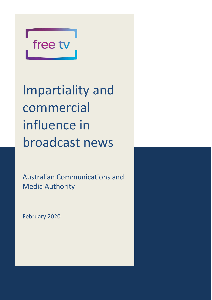

Impartiality and commercial influence in broadcast news

Australian Communications and Media Authority

February 2020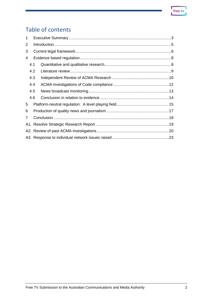# Table of contents

| 1 |     |  |  |  |  |  |  |
|---|-----|--|--|--|--|--|--|
| 2 |     |  |  |  |  |  |  |
| 3 |     |  |  |  |  |  |  |
| 4 |     |  |  |  |  |  |  |
|   | 4.1 |  |  |  |  |  |  |
|   | 4.2 |  |  |  |  |  |  |
|   | 4.3 |  |  |  |  |  |  |
|   | 4.4 |  |  |  |  |  |  |
|   | 4.5 |  |  |  |  |  |  |
|   | 4.6 |  |  |  |  |  |  |
| 5 |     |  |  |  |  |  |  |
| 6 |     |  |  |  |  |  |  |
| 7 |     |  |  |  |  |  |  |
|   |     |  |  |  |  |  |  |
|   |     |  |  |  |  |  |  |
|   |     |  |  |  |  |  |  |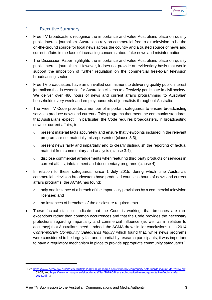#### <span id="page-2-0"></span>1 Executive Summary

- Free TV broadcasters recognise the importance and value Australians place on quality public interest journalism. Australians rely on commercial-free-to-air television to be the on-the-ground source for local news across the country and a trusted source of news and current affairs in the face of increasing concerns about fake news and misinformation.
- The Discussion Paper highlights the importance and value Australians place on quality public interest journalism. However, it does not provide an evidentiary basis that would support the imposition of further regulation on the commercial free-to-air television broadcasting sector.
- Free TV broadcasters have an unrivalled commitment to delivering quality public interest journalism that is essential for Australian citizens to effectively participate in civil society. We deliver over 486 hours of news and current affairs programming to Australian households every week and employ hundreds of journalists throughout Australia.
- The Free TV Code provides a number of important safeguards to ensure broadcasting services produce news and current affairs programs that meet the community standards that Australians expect. In particular, the Code requires broadcasters, in broadcasting news or current affairs, to:
	- $\circ$  present material facts accurately and ensure that viewpoints included in the relevant program are not materially misrepresented (clause 3.3);
	- o present news fairly and impartially and to clearly distinguish the reporting of factual material from commentary and analysis (clause 3.4);
	- o disclose commercial arrangements when featuring third party products or services in current affairs, infotainment and documentary programs (clause 4).
- In relation to these safeguards, since 1 July 2015, during which time Australia's commercial television broadcasters have produced countless hours of news and current affairs programs, the ACMA has found:
	- $\circ$  only one instance of a breach of the impartiality provisions by a commercial television licensee; and
	- o no instances of breaches of the disclosure requirements.
- These factual statistics indicate that the Code is working, that breaches are rare exceptions rather than common occurrences and that the Code provides the necessary protections regarding impartiality and commercial influence (as well as in relation to accuracy) that Australians need. Indeed, the ACMA drew similar conclusions in its 2014 *Contemporary Community Safeguards Inquiry* which found that, while news programs were considered to be largely fair and impartial by research participants, it was important to have a regulatory mechanism in place to provide appropriate community safeguards.<sup>1</sup>

<sup>1</sup> Se[e https://www.acma.gov.au/sites/default/files/2019-08/research-contemporary-community-safeguards-inquiry-Mar-2014.pdf,](https://www.acma.gov.au/sites/default/files/2019-08/research-contemporary-community-safeguards-inquiry-Mar-2014.pdf) 53-55; and [https://www.acma.gov.au/sites/default/files/2019-08/research-qualitative-and-quantitative-findings-Mar-](https://www.acma.gov.au/sites/default/files/2019-08/research-qualitative-and-quantitative-findings-Mar-2014.pdf)[2014.pdf](https://www.acma.gov.au/sites/default/files/2019-08/research-qualitative-and-quantitative-findings-Mar-2014.pdf) , 3.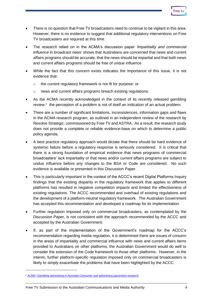- There is no question that Free TV broadcasters need to continue to be vigilant in this area. However, there is no evidence to suggest that additional regulatory interventions on Free TV broadcasters are required at this time.
- The research relied on in the ACMA's discussion paper *'Impartiality and commercial influence in broadcast news*' shows that Australians are concerned that news and current affairs programs should be accurate, that the news should be impartial and that both news and current affairs programs should be free of undue influence.
- While the fact that this concern exists indicates the importance of this issue, it is not evidence that:
	- o the current regulatory framework is not fit for purpose; or
	- o news and current affairs programs breach existing regulations.
- As the ACMA recently acknowledged in the context of its recently released gambling review, $<sup>2</sup>$  the perception of a problem is not of itself an indication of an actual problem.</sup>
- There are a number of significant limitations, inconsistences, information gaps and flaws in the ACMA research program, as outlined in an independent review of the research by Resolve Strategic, commissioned by Free TV and ASTRA. As a result, the research study does not provide a complete or reliable evidence-base on which to determine a public policy agenda.
- A best practice regulatory approach would dictate that there should be hard evidence of systemic failure before a regulatory response is seriously considered. It is critical that there is a strong foundation of empirical evidence that news programs of commercial broadcasters' lack impartiality or that news and/or current affairs programs are subject to undue influence before any changes to the BSA or Code are considered.No such evidence is available or presented in this Discussion Paper.
- This is particularly important in the context of the ACCC's recent Digital Platforms Inquiry findings that the existing disparity in the regulatory framework that applies to different platforms has resulted in negative competition impacts and limited the effectiveness of existing regulations. The ACCC recommended and overhaul of existing regulations and the development of a platform-neutral regulatory framework. The Australian Government has accepted this recommendation and developed a roadmap for its implementation.
- Further regulation imposed only on commercial broadcasters, as contemplated by the Discussion Paper, is not consistent with the approach recommended by the ACCC and accepted by the Australian Government.
- If, as part of the implementation of the Government's roadmap for the ACCC's recommendation regarding media regulation, it is determined there are issues of concern in the areas of impartiality and commercial influence with news and current affairs items provided to Australians on other platforms, the Australian Government would do well to consider the extension of the Code framework to those other platforms. However, in the interim, further platform-specific regulation imposed only on commercial broadcasters is likely to simply exacerbate the problems that have been highlighted by the ACCC.

<sup>2</sup> ACMA '*[Gambling advertising in Australia Consumer and advertising placement research](https://www.acma.gov.au/publications/2019-11/report/gambling-advertising-research)*'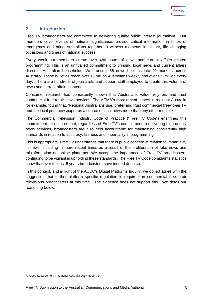#### <span id="page-4-0"></span>2 Introduction

Free TV broadcasters are committed to delivering quality public interest journalism. Our members cover events of national significance, provide critical information in times of emergency and bring Australians together to witness moments in history, life changing occasions and times of national success.

Every week our members create over 486 hours of news and current affairs related programming. This is an unrivalled commitment to bringing local news and current affairs direct to Australian households. We transmit 66 news bulletins into 40 markets across Australia. These bulletins reach over 13 million Australians weekly and over 6.5 million every day. There are hundreds of journalists and support staff employed to create this volume of news and current affairs content.

Consumer research has consistently shown that Australians value, rely on, and trust commercial free-to-air news services. The ACMA's most recent survey in regional Australia for example, found that, 'Regional Australians use, prefer and trust commercial free-to-air TV and the local print newspaper as a source of local news more than any other media'.<sup>3</sup>

The Commercial Television Industry Code of Practice ("Free TV Code") enshrines this commitment. It ensures that, regardless of Free TV's commitment to delivering high-quality news services, broadcasters are also held accountable for maintaining consistently high standards in relation to accuracy, fairness and impartiality in programming.

This is appropriate. Free TV understands that there is public concern in relation to impartiality in news, including in more recent times as a result of the proliferation of fake news and misinformation on online platforms. We accept the importance of Free TV broadcasters continuing to be vigilant in upholding these standards. The Free TV Code complaints statistics show that over the last 5 years broadcasters have indeed done so.

In this context, and in light of the ACCC's Digital Platforms Inquiry, we do not agree with the suggestion that further platform specific regulation is required on commercial free-to-air televisions broadcasters at this time. The evidence does not support this. We detail our reasoning below.

<sup>3</sup> ACMA, Local content in regional Australia 2017 Report, 9.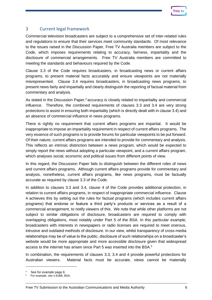## <span id="page-5-0"></span>3 Current legal framework

Commercial television broadcasters are subject to a comprehensive set of inter-related rules and regulations to ensure that their services meet community standards. Of most relevance to the issues raised in the Discussion Paper, Free TV Australia members are subject to the Code, which imposes requirements relating to accuracy, fairness, impartiality and the disclosure of commercial arrangements. Free TV Australia members are committed to meeting the standards and behaviours required by the Code.

Clause 3.3 of the Code requires broadcasters, in broadcasting news or current affairs programs, to present material facts accurately and ensure viewpoints are not materially misrepresented. Clause 3.4 requires broadcasters, in broadcasting news programs, to present news fairly and impartially and clearly distinguish the reporting of factual material from commentary and analysis.

As stated in the Discussion Paper,<sup>4</sup> accuracy is closely related to impartiality and commercial influence. Therefore, the combined requirements of clauses 3.3 and 3.4 are very strong protections to assist in ensuring both impartiality (which is directly dealt with in clause 3.4) and an absence of commercial influence in news programs.

There is rightly no requirement that current affairs programs are impartial. It would be inappropriate to impose an impartiality requirement in respect of current affairs programs. The very essence of such programs is to provide forums for particular viewpoints to be put forward. Of their nature, current affairs programs are intended to provide for commentary and analysis. This reflects an intrinsic distinction between a news program, which would be expected to simply report the news without adopting a particular viewpoint, and a current affairs program, which analyses social, economic and political issues from different points of view.

In this regard, the Discussion Paper fails to distinguish between the different roles of news and current affairs programs. Although current affairs programs provide for commentary and analysis, nonetheless, current affairs programs, like news programs, must be factually accurate as required by clause 3.3 of the Code.

In addition to clauses 3.3 and 3.4, clause 4 of the Code provides additional protection, in relation to current affairs programs, in respect of inappropriate commercial influence. Clause 4 achieves this by setting out the rules for factual programs (which includes current affairs programs) that endorse or feature a third party's products or services as a result of a commercial arrangement, to notify viewers of this. We note that while other platforms are not subject to similar obligations of disclosure, broadcasters are required to comply with overlapping obligations, most notably under Part 5 of the BSA. In this particular example, broadcasters with interests in newspapers or radio licenses are required to meet onerous, intrusive and outdated methods of disclosure. In our view, whilst transparency of cross-media relationships may be of value to the public, disclosure of such relationships on a broadcaster's website would be more appropriate and more accessible disclosure given that widespread access to the internet has arisen since Part 5 was inserted into the BSA.<sup>5</sup>

In combination, the requirements of clauses 3.3, 3.4 and 4 provide powerful protections for Australian viewers. Material facts must be accurate, views cannot be materially

See for example page 6.

<sup>5</sup> For example, see s 61BB, BSA.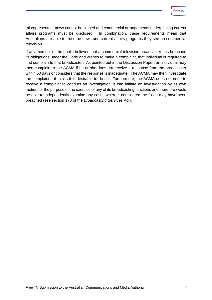

misrepresented, news cannot be biased and commercial arrangements underpinning current affairs programs must be disclosed. In combination, these requirements mean that Australians are able to trust the news and current affairs programs they see on commercial television.

If any member of the public believes that a commercial television broadcaster has breached its obligations under the Code and wishes to make a complaint, that individual is required to first complain to that broadcaster. As pointed out in the Discussion Paper, an individual may then complain to the ACMA if he or she does not receive a response from the broadcaster within 60 days or considers that the response is inadequate. The ACMA may then investigate the complaint if it thinks it is desirable to do so. Furthermore, the ACMA does not need to receive a complaint to conduct an investigation, it can initiate an investigation by its own motion for the purpose of the exercise of any of its broadcasting functions and therefore would be able to independently examine any cases where it considered the Code may have been breached (see section 170 of the *Broadcasting Services Act*).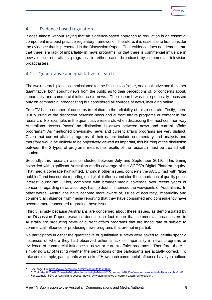## <span id="page-7-0"></span>4 Evidence based regulation

It goes almost without saying that an evidence-based approach to regulation is an essential component in a best practice regulatory framework. Therefore, it is essential to first consider the evidence that is presented in the Discussion Paper. That evidence does not demonstrate that there is a lack of impartiality in news programs, or that there is commercial influence in news or current affairs programs, in either case, broadcast by commercial television broadcasters.

#### <span id="page-7-1"></span>4.1 Quantitative and qualitative research

The two research pieces commissioned for the Discussion Paper, one qualitative and the other quantitative, both sought views from the public as to their perceptions of, or concerns about, impartiality and commercial influence in news. The research was not specifically focussed only on commercial broadcasting but considered all sources of news, including online.

Free TV has a number of concerns in relation to the reliability of this research. Firstly, there is a blurring of the distinction between news and current affairs programs or content in the research. For example, in the quantitative research, when discussing the most common way Australians access "news" no distinction is drawn between news and current affairs programs. 6 As mentioned previously, news and current affairs programs are very distinct. Given that current affairs programs of their nature include commentary and analysis and therefore would be unlikely to be objectively viewed as impartial, this blurring of the distinction between the 2 types of programs means the results of the research must be treated with caution.

Secondly, this research was conducted between July and September 2019. This timing coincided with significant Australian media coverage of the ACCC's Digital Platform Inquiry. That media coverage highlighted, amongst other issues, concerns the ACCC had with "filter bubbles" and inaccurate reporting on digital platforms and also the importance of quality public interest journalism. This, combined with broader media coverage over recent years of concerns regarding news accuracy, has no doubt influenced the viewpoints of Australians. In other words, Australians have become more aware of issues of accuracy, impartiality and commercial influence from media reporting that they have consumed and consequently have become more concerned regarding these issues.

Thirdly, simply because Australians are concerned about these issues, as demonstrated by the Discussion Paper research, does not in fact mean that commercial broadcasters in Australia are producing news or current affairs programs that are inaccurate or subject to commercial influence or producing news programs that are not impartial.

No participants in either the quantitative or qualitative surveys were asked to identify specific instances of where they had observed either a lack of impartiality in news programs or evidence of commercial influence in news or current affairs programs. Therefore, there is simply no way of testing whether the perceptions of the participants are actually correct. To take one example, participants were asked "How much commercial influence have you noticed

<sup>6</sup> See page 4 o[f https://www.acma.gov.au/sites/default/files/2020-](https://www.acma.gov.au/sites/default/files/2020-01/Attitudes%20to%20news%20today_Impartiality%20and%20commercial%20influence_quantitative%20research_0.pdf)

<sup>01/</sup>Attitudes%20to%20news%20today\_Impartiality%20and%20commercial%20influence\_quantitative%20research\_0.pdf. For example, 52% of Australians access "news" by watching news or current affairs on television.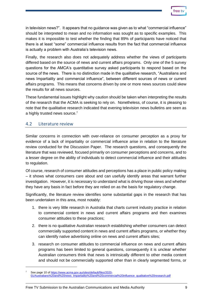

in television news?". It appears that no guidance was given as to what "commercial influence" should be interpreted to mean and no information was sought as to specific examples. This makes it is impossible to test whether the finding that 89% of participants have noticed that there is at least "some" commercial influence results from the fact that commercial influence is actually a problem with Australia's television news.

Finally, the research also does not adequately address whether the views of participants differed based on the source of news and current affairs programs. Only one of the 5 survey questions for the AMCA's quantitative survey asked participants to respond based on the source of the news. There is no distinction made in the qualitative research, "Australians and news Impartiality and commercial influence", between different sources of news or current affairs programs. This means that concerns driven by one or more news sources could skew the results for all news sources.

These fundamental issues highlight why caution should be taken when interpreting the results of the research that the ACMA is seeking to rely on. Nonetheless, of course, it is pleasing to note that the qualitative research indicated that evening television news bulletins are seen as a highly trusted news source.<sup>7</sup>

#### <span id="page-8-0"></span>4.2 Literature review

Similar concerns in connection with over-reliance on consumer perception as a proxy for evidence of a lack of impartiality or commercial influence arise in relation to the literature review conducted for the Discussion Paper. The research questions, and consequently the literature that was reviewed, focused primarily on consumer perceptions and concerns, and to a lesser degree on the ability of individuals to detect commercial influence and their attitudes to regulation.

Of course, research of consumer attitudes and perceptions has a place in public policy making – it shows what consumers care about and can usefully identify areas that warrant further investigation. However, it is necessary to understand what is driving those views and whether they have any basis in fact before they are relied on as the basis for regulatory change.

Significantly, the literature review identifies some substantial gaps in the research that has been undertaken in this area, most notably:

- 1. there is very little research in Australia that charts current industry practice in relation to commercial content in news and current affairs programs and then examines consumer attitudes to these practices;
- 2. there is no qualitative Australian research establishing whether consumers can detect commercially supported content in news and current affairs programs, or whether they can identify native advertising online on news and current affairs sites;
- 3. research on consumer attitudes to commercial influence on news and current affairs programs has been limited to general questions, consequently it is unclear whether Australian consumers think that news is intrinsically different to other media content and should not be commercially supported other than in clearly segmented forms, or

See page 10 o[f https://www.acma.gov.au/sites/default/files/2020-](https://www.acma.gov.au/sites/default/files/2020-01/Australians%20and%20news_Impartiality%20and%20commercial%20influence_qualitative%20research.pdf) [01/Australians%20and%20news\\_Impartiality%20and%20commercial%20influence\\_qualitative%20research.pdf](https://www.acma.gov.au/sites/default/files/2020-01/Australians%20and%20news_Impartiality%20and%20commercial%20influence_qualitative%20research.pdf)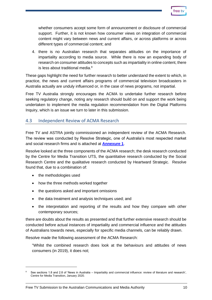

whether consumers accept some form of announcement or disclosure of commercial support. Further, it is not known how consumer views on integration of commercial content might vary between news and current affairs, or across platforms or across different types of commercial content; and

4. there is no Australian research that separates attitudes on the importance of impartiality according to media source. While there is now an expanding body of research on consumer attitudes to concepts such as impartiality in online content, there is less about traditional media. $8$ 

These gaps highlight the need for further research to better understand the extent to which, in practice, the news and current affairs programs of commercial television broadcasters in Australia actually are unduly influenced or, in the case of news programs, not impartial.

Free TV Australia strongly encourages the ACMA to undertake further research before seeking regulatory change, noting any research should build on and support the work being undertaken to implement the media regulation recommendation from the Digital Platforms Inquiry, which is an issue we turn to later in this submission.

#### <span id="page-9-0"></span>4.3 Independent Review of ACMA Research

Free TV and ASTRA jointly commissioned an independent review of the ACMA Research. The review was conducted by Resolve Strategic, one of Australia's most respected market and social research firms and is attached at **[Annexure](https://s3-ap-southeast-2.amazonaws.com/media.freetv.com.au/wp-content/uploads/2020/03/09084303/A1-Resolve-Strategic-Research-Review-Feb-2020.pdf) 1**.

Resolve looked at the three components of the ACMA research; the desk research conducted by the Centre for Media Transition UTS, the quantitative research conducted by the Social Research Centre and the qualitative research conducted by Heartward Strategic. Resolve found that, due to a combination of:

- the methodologies used
- how the three methods worked together
- the questions asked and important omissions
- the data treatment and analysis techniques used; and
- the interpretation and reporting of the results and how they compare with other contemporary sources;

there are doubts about the results as presented and that further extensive research should be conducted before actual instances of impartiality and commercial influence and the attitudes of Australians towards news, especially for specific media channels, can be reliably drawn.

Resolve made the following assessment of the ACMA Research:

"Whilst the combined research does look at the behaviours and attitudes of news consumers (in 2019), it does not;

See sections 1.8 and 2.8 of 'News in Australia – Impartiality and commercial influence: review of literature and research', Centre for Media Transition, January 2020.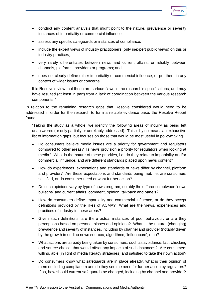

- conduct any content analysis that might point to the nature, prevalence or severity instances of impartiality or commercial influence;
- assess any specific safeguards or instances of compliance;
- include the expert views of industry practitioners (only inexpert public views) on this or industry practices;
- very rarely differentiates between news and current affairs, or reliably between channels, platforms, providers or programs; and,
- does not clearly define either impartiality or commercial influence, or put them in any context of wider issues or concerns.

It is Resolve's view that these are serious flaws in the research's specifications, and may have resulted (at least in part) from a lack of coordination between the various research components."

In relation to the remaining research gaps that Resolve considered would need to be addressed in order for the research to form a reliable evidence-base, the Resolve Report found:

"Taking the study as a whole, we identify the following areas of inquiry as being left unanswered (or only partially or unreliably addressed). This is by no means an exhaustive list of information gaps, but focuses on those that would be most useful in policymaking.

- Do consumers believe media issues are a priority for government and regulators compared to other areas? Is news provision a priority for regulators when looking at media? What is the nature of these priorities, i.e. do they relate to impartiality and/or commercial influence, and are different standards placed upon news content?
- How do experiences, expectations and standards of news differ by channel, platform and provider? Are these expectations and standards being met, i.e. are consumers satisfied, or do consumer need or want further action?
- Do such opinions vary by type of news program, notably the difference between 'news bulletins' and current affairs, comment, opinion, talkback and panels?
- How do consumers define impartiality and commercial influence, or do they accept definitions provided by the likes of ACMA? What are the views, experiences and practices of industry in these areas?
- Given such definitions, are there actual instances of poor behaviour, or are they perceptions based on personal biases and opinions? What is the nature, (changing) prevalence and severity of instances, including by channel and provider (notably driven by the growth in on-line news sources, algorithms, 'influencers', etc.)?
- What actions are already being taken by consumers, such as avoidance, fact-checking and source choice, that would offset any impacts of such instances? Are consumers willing, able (in light of media literacy strategies) and satisfied to take their own action?
- Do consumers know what safeguards are in place already, what is their opinion of them (including compliance) and do they see the need for further action by regulators? If so, how should current safeguards be changed, including by channel and provider?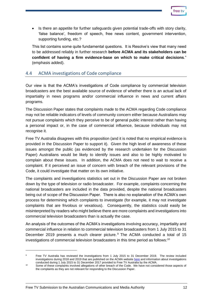

• Is there an appetite for further safeguards given potential trade-offs with story clarity, 'false balance', freedom of speech, free news content, government intervention, supporting funding, etc.?

This list contains some quite fundamental questions. It is Resolve's view that many need to be addressed reliably in further research **before ACMA and its stakeholders can be confident of having a firm evidence-base on which to make critical decisions**." (emphasis added).

#### <span id="page-11-0"></span>4.4 ACMA investigations of Code compliance

Our view is that the ACMA's investigations of Code compliance by commercial television broadcasters are the best available source of evidence of whether there is an actual lack of impartiality in news programs and/or commercial influence in news and current affairs programs.

The Discussion Paper states that complaints made to the ACMA regarding Code compliance may not be reliable indicators of levels of community concern either because Australians may not pursue complaints which they perceive to be of general public interest rather than having a personal impact or, in the case of commercial influence, because individuals may not recognise it.

Free TV Australia disagrees with this proposition (and it is noted that no empirical evidence is provided in the Discussion Paper to support it). Given the high level of awareness of these issues amongst the public (as evidenced by the research undertaken for the Discussion Paper) Australians would be likely to identify issues and also to be highly motivated to complain about these issues. In addition, the ACMA does not need to wait to receive a complaint. If it perceived an issue of concern with breach of the relevant provisions of the Code, it could investigate that matter on its own initiative.

The complaints and investigations statistics set out in the Discussion Paper are not broken down by the type of television or radio broadcaster. For example, complaints concerning the national broadcasters are included in the data provided, despite the national broadcasters being out of scope of the Discussion Paper. There is also no explanation of the ACMA's own process for determining which complaints to investigate (for example, it may not investigate complaints that are frivolous or vexatious). Consequently, the statistics could easily be misinterpreted by readers who might believe there are more complaints and investigations into commercial television broadcasters than is actually the case.

An analysis of the outcomes of the ACMA's investigations involving accuracy, impartiality and commercial influence in relation to commercial television broadcasters from 1 July 2015 to 31 December 2019 presents a much clearer picture.<sup>9</sup> The ACMA conducted a total of 15 investigations of commercial television broadcasters in this time period as follows:<sup>10</sup>

<sup>9</sup> Free TV Australia has reviewed the investigations from 1 July 2015 to 31 December 2019. The review included investigations during 2018 and 2019 that are published on the ACMA website [here](https://www.acma.gov.au/investigations-tv-broadcasters) and information about investigations conducted during 1 July 2015 to 31 December 2017 provided to Free TV Australia by the ACMA.

<sup>10</sup> Some of these complaints involved allegations of other breach of the Code. We have not considered those aspects of the complaints as they are not relevant for responding to the Discussion Paper.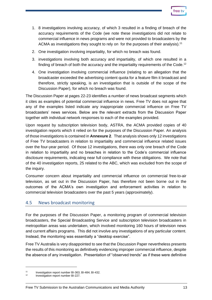- 1. 8 investigations involving accuracy, of which 3 resulted in a finding of breach of the accuracy requirements of the Code (we note these investigations did not relate to commercial influence in news programs and were not provided to broadcasters by the ACMA as investigations they sought to rely on for the purposes of their analysis).<sup>11</sup>
- 2. One investigation involving impartiality, for which no breach was found.
- 3. investigations involving both accuracy and impartiality, of which one resulted in a finding of breach of both the accuracy and the impartiality requirements of the Code.<sup>12</sup>
- 4. One investigation involving commercial influence (relating to an allegation that the broadcaster exceeded the advertising content quota for a feature film it broadcast and therefore, strictly speaking, is an investigation that is outside of the scope of the Discussion Paper), for which no breach was found.

The Discussion Paper at pages 22-23 identifies a number of news broadcast segments which it cites as examples of potential commercial influence in news. Free TV does not agree that any of the examples listed indicate any inappropriate commercial influence on Free TV broadcasters' news services. Below are the relevant extracts from the Discussion Paper together with individual network responses to each of the examples provided.

Upon request by subscription television body, ASTRA, the ACMA provided copies of 40 investigation reports which it relied on for the purposes of the Discussion Paper. An analysis of those investigations is contained in **Annexure 2**. That analysis shows only 12 investigations of Free TV broadcasters in relation to impartiality and commercial influence related issues over the four-year period. Of those 12 investigations, there was only one breach of the Code in relation to impartiality and no breaches in relation to the Code's commercial influence disclosure requirements, indicating near full compliance with these obligations. We note that of the 40 investigation reports, 25 related to the ABC, which was excluded from the scope of the inquiry.

Consumer concern about impartiality and commercial influence on commercial free-to-air television, as set out in the Discussion Paper, has therefore not been borne out in the outcomes of the ACMA's own investigation and enforcement activities in relation to commercial television broadcasters over the past 5 years (approximately).

#### <span id="page-12-0"></span>4.5 News broadcast monitoring

For the purposes of the Discussion Paper, a monitoring program of commercial television broadcasters, the Special Broadcasting Service and subscription television broadcasters in metropolitan areas was undertaken, which involved monitoring 160 hours of television news and current affairs programs. This did not involve any investigations of any particular content. Instead, the monitoring was essentially a "desktop exercise".

Free TV Australia is very disappointed to see that the Discussion Paper nevertheless presents the results of this monitoring as definitively evidencing improper commercial influence, despite the absence of any investigation. Presentation of "observed trends" as if these were definitive

<sup>11</sup> Investigation report number BI-363; BI-484; BI-432.<br>12 Investigation report number BI-227

<sup>12</sup> Investigation report number BI-227.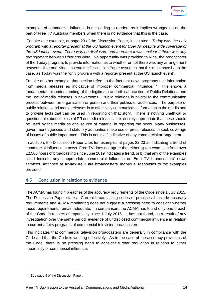examples of commercial influence is misleading to readers as it implies wrongdoing on the part of Free TV Australia members when there is no evidence that this is the case.

To take one example, at page 23 of the Discussion Paper, it is stated: *Today was the only program with a reporter present at the US launch event for Uber Air despite wide coverage of the US launch event. There was no disclosure and therefore it was unclear if there was any arrangement between Uber and Nine.* No opportunity was provided to Nine, the broadcaster of the Today program, to provide information as to whether or not there was any arrangement between Uber and Nine. Instead the Discussion Paper assumes that this must have been the case, as Today was the "only program with a reporter present at the US launch event".

To take another example, that section refers to the fact that news programs use information from media releases as indicative of improper commercial influence.<sup>13</sup> This shows a fundamental misunderstanding of the legitimate and ethical practice of Public Relations and the use of media releases in newsrooms. Public relations is pivotal to the communication process between an organisation or person and their publics or audiences. The purpose of public relations and media releases is to effectively communicate information to the media and to provide facts that can be used in reporting on that story. There is nothing unethical or questionable about the use of PR or media releases. It is entirely appropriate that these should be used by the media as one source of material in reporting the news. Many businesses, government agencies and statutory authorities make use of press releases to seek coverage of issues of public importance. This is not itself indicative of any commercial arrangement.

In addition, the Discussion Paper cites ten examples at pages 22-23 as indicating a trend of commercial influence in news. Free TV does not agree that either a) ten examples from over 12,500 hours of broadcasting since June 2019 indicates a trend, or b) that any of the examples listed indicate any inappropriate commercial influence on Free TV broadcasters' news services. Attached at **Annexure 3** are broadcasters' individual responses to the examples provided.

#### <span id="page-13-0"></span>4.6 Conclusion in relation to evidence

The ACMA has found 4 breaches of the accuracy requirements of the Code since 1 July 2015. The Discussion Paper states: Current broadcasting codes of practice all include accuracy requirements and ACMA monitoring does not suggest a pressing need to consider whether these requirements remain adequate. In comparison, the ACMA has found only one breach of the Code in respect of impartiality since 1 July 2015. It has not found, as a result of any investigation over the same period, evidence of undisclosed commercial influence in relation to current affairs programs of commercial television broadcasters.

This indicates that commercial television broadcasters are generally in compliance with the Code and that the Code is working effectively. As in the case of the accuracy provisions of the Code, there is no pressing need to consider further regulation in relation to either impartiality or commercial influence.

<sup>&</sup>lt;sup>13</sup> See page 9 of the Discussion Paper.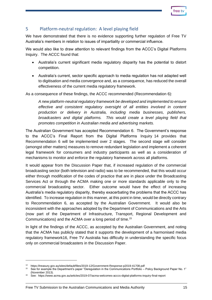| rr<br>≏ |  |
|---------|--|
|         |  |

## <span id="page-14-0"></span>5 Platform-neutral regulation: A level playing field

We have demonstrated that there is no evidence supporting further regulation of Free TV Australia's members in relation to issues of impartiality or commercial influence.

We would also like to draw attention to relevant findings from the ACCC's Digital Platforms Inquiry. The ACCC found that:

- Australia's current significant media regulatory disparity has the potential to distort competition.
- Australia's current, sector specific approach to media regulation has not adapted well to digitisation and media convergence and, as a consequence, has reduced the overall effectiveness of the current media regulatory framework.

As a consequence of these findings, the ACCC recommended (Recommendation 6):

*A new platform-neutral regulatory framework be developed and implemented to ensure effective and consistent regulatory oversight of all entities involved in content production or delivery in Australia, including media businesses, publishers, broadcasters and digital platforms. This would create a level playing field that promotes competition in Australian media and advertising markets.*

The Australian Government has accepted Recommendation 6. The Government's response to the ACCC's Final Report from the Digital Platforms Inquiry 14 provides that Recommendation 6 will be implemented over 2 stages. The second stage will consider (amongst other matters) measures to remove redundant legislation and implement a coherent legal framework for consumers and industry participants as well as a consideration of mechanisms to monitor and enforce the regulatory framework across all platforms.

It would appear from the Discussion Paper that, if increased regulation of the commercial broadcasting sector (both television and radio) was to be recommended, that this would occur either through modification of the codes of practice that are in place under the Broadcasting Services Act or through the ACMA making one or more standards applicable only to the commercial broadcasting sector. Either outcome would have the effect of increasing Australia's media regulatory disparity, thereby exacerbating the problems that the ACCC has identified. To increase regulation in this manner, at this point in time, would be directly contrary to Recommendation 6, as accepted by the Australian Government. It would also be inconsistent with the approaches adopted by the Department of Communications and the Arts (now part of the Department of Infrastructure, Transport, Regional Development and Communications) and the ACMA over a long period of time.<sup>15</sup>

In light of the findings of the ACCC, as accepted by the Australian Government, and noting that the ACMA has publicly stated that it supports the development of a harmonised media regulatory framework16, Free TV Australia has difficulty in understanding the specific focus only on commercial broadcasters in the Discussion Paper.

<sup>&</sup>lt;sup>14</sup> https://treasury.gov.au/sites/default/files/2019-12/Government-Response-p2019-41708.pdf<br><sup>15</sup> See far eventle the Department's naper "Departulation in the Communications Perfolio

See for example the Department's paper "Deregulation in the Communications Portfolio – Policy Background Paper No. 1" (November 2013).

<sup>16</sup> See: https://www.acma.gov.au/articles/2019-07/acma-welcomes-acccs-digital-platforms-inquiry-final-report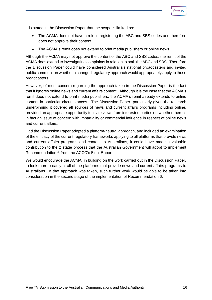

It is stated in the Discussion Paper that the scope is limited as:

- The ACMA does not have a role in registering the ABC and SBS codes and therefore does not approve their content.
- The ACMA's remit does not extend to print media publishers or online news.

Although the ACMA may not approve the content of the ABC and SBS codes, the remit of the ACMA does extend to investigating complaints in relation to both the ABC and SBS. Therefore the Discussion Paper could have considered Australia's national broadcasters and invited public comment on whether a changed regulatory approach would appropriately apply to those broadcasters.

However, of most concern regarding the approach taken in the Discussion Paper is the fact that it ignores online news and current affairs content. Although it is the case that the ACMA's remit does not extend to print media publishers, the ACMA's remit already extends to online content in particular circumstances. The Discussion Paper, particularly given the research underpinning it covered all sources of news and current affairs programs including online, provided an appropriate opportunity to invite views from interested parties on whether there is in fact an issue of concern with impartiality or commercial influence in respect of online news and current affairs.

Had the Discussion Paper adopted a platform-neutral approach, and included an examination of the efficacy of the current regulatory frameworks applying to all platforms that provide news and current affairs programs and content to Australians, it could have made a valuable contribution to the 2 stage process that the Australian Government will adopt to implement Recommendation 6 from the ACCC's Final Report.

We would encourage the ACMA, in building on the work carried out in the Discussion Paper, to look more broadly at all of the platforms that provide news and current affairs programs to Australians. If that approach was taken, such further work would be able to be taken into consideration in the second stage of the implementation of Recommendation 6.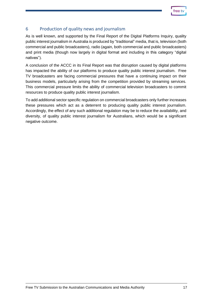| tree |  |
|------|--|
|      |  |
|      |  |

## <span id="page-16-0"></span>6 Production of quality news and journalism

As is well known, and supported by the Final Report of the Digital Platforms Inquiry, quality public interest journalism in Australia is produced by "traditional" media, that is, television (both commercial and public broadcasters), radio (again, both commercial and public broadcasters) and print media (though now largely in digital format and including in this category "digital natives").

A conclusion of the ACCC in its Final Report was that disruption caused by digital platforms has impacted the ability of our platforms to produce quality public interest journalism. Free TV broadcasters are facing commercial pressures that have a continuing impact on their business models, particularly arising from the competition provided by streaming services. This commercial pressure limits the ability of commercial television broadcasters to commit resources to produce quality public interest journalism.

To add additional sector specific regulation on commercial broadcasters only further increases these pressures which act as a deterrent to producing quality public interest journalism. Accordingly, the effect of any such additional regulation may be to reduce the availability, and diversity, of quality public interest journalism for Australians, which would be a significant negative outcome.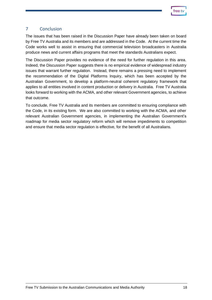

## <span id="page-17-0"></span>7 Conclusion

The issues that has been raised in the Discussion Paper have already been taken on board by Free TV Australia and its members and are addressed in the Code. At the current time the Code works well to assist in ensuring that commercial television broadcasters in Australia produce news and current affairs programs that meet the standards Australians expect.

The Discussion Paper provides no evidence of the need for further regulation in this area. Indeed, the Discussion Paper suggests there is no empirical evidence of widespread industry issues that warrant further regulation. Instead, there remains a pressing need to implement the recommendation of the Digital Platforms Inquiry, which has been accepted by the Australian Government, to develop a platform-neutral coherent regulatory framework that applies to all entities involved in content production or delivery in Australia. Free TV Australia looks forward to working with the ACMA, and other relevant Government agencies, to achieve that outcome.

To conclude, Free TV Australia and its members are committed to ensuring compliance with the Code, in its existing form. We are also committed to working with the ACMA, and other relevant Australian Government agencies, in implementing the Australian Government's roadmap for media sector regulatory reform which will remove impediments to competition and ensure that media sector regulation is effective, for the benefit of all Australians.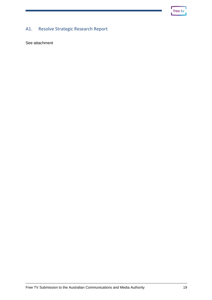| <b>Tree</b> |  |
|-------------|--|
|             |  |

## <span id="page-18-0"></span>A1. Resolve Strategic Research Report

See attachment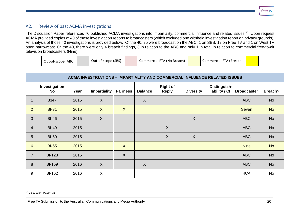

### A2. Review of past ACMA investigations

The Discussion Paper references 70 published ACMA investigations into impartiality, commercial influence and related issues.<sup>17</sup> Upon request ACMA provided copies of 40 of these investigation reports to broadcasters (which excluded one withheld investigation report on privacy grounds). An analysis of those 40 investigations is provided below. Of the 40, 25 were broadcast on the ABC, 1 on SBS, 12 on Free TV and 1 on West TV open narrowcast. Of the 40, there were only 4 breach findings, 3 in relation to the ABC and only 1 in total in relation to commercial free-to-air television broadcasters (Nine).

| Out-of-scope (ABC) | Out-of-scope (SBS) | Commercial FTA (No Breach) | Commercial FTA (Breach) |  |
|--------------------|--------------------|----------------------------|-------------------------|--|
|                    |                    |                            |                         |  |

<span id="page-19-0"></span>

|                 | <b>ACMA INVESTIGATIONS - IMPARTIALITY AND COMMERCIAL INFLUENCE RELATED ISSUES</b> |      |                     |                 |                |                                 |                  |                              |                    |           |
|-----------------|-----------------------------------------------------------------------------------|------|---------------------|-----------------|----------------|---------------------------------|------------------|------------------------------|--------------------|-----------|
|                 | Investigation<br>No                                                               | Year | <b>Impartiality</b> | <b>Fairness</b> | <b>Balance</b> | <b>Right of</b><br><b>Reply</b> | <b>Diversity</b> | Distinguish-<br>ability / Cl | <b>Broadcaster</b> | Breach?   |
| $\mathbf{1}$    | 3347                                                                              | 2015 | $\sf X$             |                 | $\mathsf{X}$   |                                 |                  |                              | <b>ABC</b>         | <b>No</b> |
| $\overline{2}$  | <b>BI-31</b>                                                                      | 2015 | $\mathsf{X}$        | $\mathsf{X}$    |                |                                 |                  |                              | <b>Seven</b>       | <b>No</b> |
| 3               | <b>BI-46</b>                                                                      | 2015 | $\sf X$             |                 |                |                                 | X                |                              | <b>ABC</b>         | <b>No</b> |
| $\overline{4}$  | <b>BI-49</b>                                                                      | 2015 |                     |                 |                | $\sf X$                         |                  |                              | <b>ABC</b>         | <b>No</b> |
| 5               | <b>BI-50</b>                                                                      | 2015 |                     |                 |                | $\sf X$                         | X                |                              | <b>ABC</b>         | <b>No</b> |
| $6\overline{6}$ | <b>BI-55</b>                                                                      | 2015 |                     | $\mathsf{X}$    |                |                                 |                  |                              | <b>Nine</b>        | <b>No</b> |
| $\overline{7}$  | <b>BI-123</b>                                                                     | 2015 |                     | $\sf X$         |                |                                 |                  |                              | <b>ABC</b>         | <b>No</b> |
| 8               | <b>BI-159</b>                                                                     | 2016 | $\overline{X}$      |                 | $\mathsf{X}$   |                                 |                  |                              | <b>ABC</b>         | <b>No</b> |
| 9               | <b>BI-162</b>                                                                     | 2016 | $\mathsf{X}$        |                 |                |                                 |                  |                              | 4CA                | No        |

Free TV Submission to the Australian Communications and Media Authority 20

<sup>&</sup>lt;sup>17</sup> Discussion Paper, 31.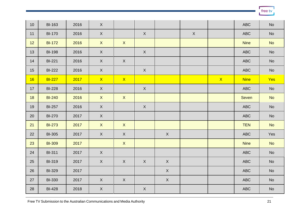free tv

| 10              | <b>BI-163</b> | 2016 | $\mathsf X$  |              |             |             |   |              | <b>ABC</b>  | No                           |
|-----------------|---------------|------|--------------|--------------|-------------|-------------|---|--------------|-------------|------------------------------|
| 11              | <b>BI-170</b> | 2016 | $\mathsf X$  |              | $\mathsf X$ |             | X |              | <b>ABC</b>  | No                           |
| 12 <sup>°</sup> | <b>BI-172</b> | 2016 | $\mathsf{X}$ | $\mathsf X$  |             |             |   |              | <b>Nine</b> | <b>No</b>                    |
| 13              | <b>BI-198</b> | 2016 | $\mathsf X$  |              | $\sf X$     |             |   |              | <b>ABC</b>  | $\mathsf{No}$                |
| 14              | <b>BI-221</b> | 2016 | $\mathsf X$  | $\mathsf X$  |             |             |   |              | <b>ABC</b>  | No                           |
| 15              | <b>BI-222</b> | 2016 | X            |              | X           |             |   |              | <b>ABC</b>  | No                           |
| 16              | <b>BI-227</b> | 2017 | $\mathsf{X}$ | $\mathsf{X}$ |             |             |   | $\mathsf{X}$ | <b>Nine</b> | Yes                          |
| 17 <sup>2</sup> | <b>BI-228</b> | 2016 | $\mathsf X$  |              | $\mathsf X$ |             |   |              | <b>ABC</b>  | $\operatorname{\mathsf{No}}$ |
| 18              | <b>BI-240</b> | 2016 | $\mathsf X$  | $\mathsf{X}$ |             |             |   |              | Seven       | <b>No</b>                    |
| 19              | <b>BI-257</b> | 2016 | $\mathsf X$  |              | $\mathsf X$ |             |   |              | <b>ABC</b>  | No                           |
| 20              | <b>BI-270</b> | 2017 | $\mathsf X$  |              |             |             |   |              | <b>ABC</b>  | No                           |
| 21              | <b>BI-273</b> | 2017 | $\mathsf X$  | $\mathsf{X}$ |             |             |   |              | <b>TEN</b>  | <b>No</b>                    |
| 22              | <b>BI-305</b> | 2017 | $\mathsf X$  | $\mathsf X$  |             | $\sf X$     |   |              | <b>ABC</b>  | Yes                          |
| 23              | <b>BI-309</b> | 2017 |              | $\mathsf X$  |             |             |   |              | <b>Nine</b> | <b>No</b>                    |
| 24              | <b>BI-311</b> | 2017 | $\mathsf X$  |              |             |             |   |              | <b>ABC</b>  | No                           |
| 25              | <b>BI-319</b> | 2017 | $\mathsf X$  | $\mathsf X$  | $\mathsf X$ | $\mathsf X$ |   |              | <b>ABC</b>  | No                           |
| 26              | <b>BI-329</b> | 2017 |              |              |             | $\sf X$     |   |              | <b>ABC</b>  | <b>No</b>                    |
| 27              | <b>BI-330</b> | 2017 | $\mathsf X$  | $\mathsf X$  |             | $\mathsf X$ |   |              | <b>ABC</b>  | No                           |
| 28              | <b>BI-428</b> | 2018 | $\mathsf X$  |              | $\mathsf X$ |             |   |              | <b>ABC</b>  | $\operatorname{\mathsf{No}}$ |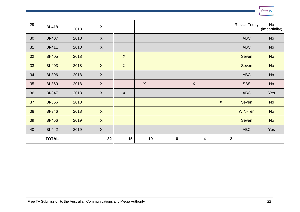| 29 | <b>BI-418</b> | 2018 | $\boldsymbol{\mathsf{X}}$ |                           |             |                |              |              | Russia Today | No<br>(impartiality) |
|----|---------------|------|---------------------------|---------------------------|-------------|----------------|--------------|--------------|--------------|----------------------|
| 30 | <b>BI-407</b> | 2018 | $\mathsf X$               |                           |             |                |              |              | <b>ABC</b>   | No                   |
| 31 | <b>BI-411</b> | 2018 | $\mathsf X$               |                           |             |                |              |              | <b>ABC</b>   | <b>No</b>            |
| 32 | <b>BI-405</b> | 2018 |                           | $\boldsymbol{\mathsf{X}}$ |             |                |              |              | <b>Seven</b> | <b>No</b>            |
| 33 | <b>BI-403</b> | 2018 | $\mathsf{X}$              | $\boldsymbol{\mathsf{X}}$ |             |                |              |              | <b>Seven</b> | <b>No</b>            |
| 34 | <b>BI-396</b> | 2018 | $\mathsf X$               |                           |             |                |              |              | <b>ABC</b>   | No                   |
| 35 | <b>BI-360</b> | 2018 | $\mathsf{X}$              |                           | $\mathsf X$ |                | $\mathsf{X}$ |              | <b>SBS</b>   | No                   |
| 36 | <b>BI-347</b> | 2018 | $\mathsf X$               | $\boldsymbol{\mathsf{X}}$ |             |                |              |              | <b>ABC</b>   | Yes                  |
| 37 | <b>BI-356</b> | 2018 |                           |                           |             |                |              | $\mathsf{X}$ | <b>Seven</b> | <b>No</b>            |
| 38 | <b>BI-346</b> | 2018 | $\mathsf{X}$              |                           |             |                |              |              | WIN-Ten      | <b>No</b>            |
| 39 | <b>BI-456</b> | 2019 | $\mathsf X$               |                           |             |                |              |              | <b>Seven</b> | <b>No</b>            |
| 40 | <b>BI-442</b> | 2019 | $\mathsf X$               |                           |             |                |              |              | <b>ABC</b>   | Yes                  |
|    | <b>TOTAL</b>  |      | 32                        | 15                        | 10          | $6\phantom{1}$ | 4            | $\mathbf{2}$ |              |                      |

free tv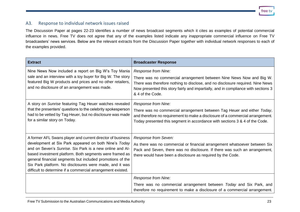free ty

#### A3. Response to individual network issues raised

The Discussion Paper at pages 22-23 identifies a number of news broadcast segments which it cites as examples of potential commercial influence in news. Free TV does not agree that any of the examples listed indicate any inappropriate commercial influence on Free TV broadcasters' news services. Below are the relevant extracts from the Discussion Paper together with individual network responses to each of the examples provided.

<span id="page-22-0"></span>

| <b>Extract</b>                                                                                                                                                                                                                                                                                                                                                                                                                    | <b>Broadcaster Response</b>                                                                                                                                                                                                                                                             |
|-----------------------------------------------------------------------------------------------------------------------------------------------------------------------------------------------------------------------------------------------------------------------------------------------------------------------------------------------------------------------------------------------------------------------------------|-----------------------------------------------------------------------------------------------------------------------------------------------------------------------------------------------------------------------------------------------------------------------------------------|
| Nine News Now included a report on Big W's Toy Mania<br>sale and an interview with a toy buyer for Big W. The story<br>featured Big W products and prices and no other retailers,<br>and no disclosure of an arrangement was made.                                                                                                                                                                                                | Response from Nine:<br>There was no commercial arrangement between Nine News Now and Big W.<br>There was therefore nothing to disclose, and no disclosure required. Nine News<br>Now presented this story fairly and impartially, and in compliance with sections 3<br>& 4 of the Code. |
| A story on Sunrise featuring Tag Heuer watches revealed<br>that the presenters' questions to the celebrity spokesperson<br>had to be vetted by Tag Heuer, but no disclosure was made<br>for a similar story on Today.                                                                                                                                                                                                             | Response from Nine:<br>There was no commercial arrangement between Tag Heuer and either Today,<br>and therefore no requirement to make a disclosure of a commercial arrangement.<br>Today presented this segment in accordance with sections 3 & 4 of the Code.                         |
| A former AFL Swans player and current director of business<br>development at Six Park appeared on both Nine's Today<br>and on Seven's Sunrise. Six Park is a new online and Al-<br>based investment platform. Both segments were framed as<br>general financial segments but included promotions of the<br>Six Park platform. No disclosures were made, and it was<br>difficult to determine if a commercial arrangement existed. | Response from Seven:<br>As there was no commercial or financial arrangement whatsoever between Six<br>Pack and Seven, there was no disclosure. If there was such an arrangement,<br>there would have been a disclosure as required by the Code.                                         |
|                                                                                                                                                                                                                                                                                                                                                                                                                                   | Response from Nine:<br>There was no commercial arrangement between Today and Six Park, and<br>therefore no requirement to make a disclosure of a commercial arrangement.                                                                                                                |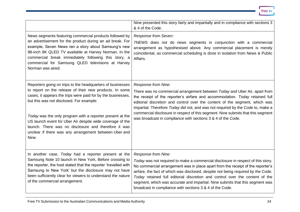|                                                                                                                                                                                                                                                                                                                                                                                                                                                                                       | Nine presented this story fairly and impartially and in compliance with sections 3<br>& 4 of the Code.                                                                                                                                                                                                                                                                                                                                                                                                       |
|---------------------------------------------------------------------------------------------------------------------------------------------------------------------------------------------------------------------------------------------------------------------------------------------------------------------------------------------------------------------------------------------------------------------------------------------------------------------------------------|--------------------------------------------------------------------------------------------------------------------------------------------------------------------------------------------------------------------------------------------------------------------------------------------------------------------------------------------------------------------------------------------------------------------------------------------------------------------------------------------------------------|
| News segments featuring commercial products followed by<br>an advertisement for the product during an ad break. For<br>example, Seven News ran a story about Samsung's new<br>98-inch 8K QLED TV available at Harvey Norman. In the<br>commercial break immediately following this story, a<br>commercial for Samsung QLED televisions at Harvey<br>Norman was aired.                                                                                                                 | Response from Seven:<br>7NEWS does not do news segments in conjunction with a commercial<br>arrangement as hypothesised above. Any commercial placement is merely<br>coincidental, as commercial scheduling is done in isolation from News & Public<br>Affairs.                                                                                                                                                                                                                                              |
| Reporters going on trips to the headquarters of businesses<br>to report on the release of their new products. In some<br>cases, it appears the trips were paid for by the businesses,<br>but this was not disclosed. For example:<br>Today was the only program with a reporter present at the<br>US launch event for Uber Air despite wide coverage of the<br>launch. There was no disclosure and therefore it was<br>unclear if there was any arrangement between Uber and<br>Nine. | Response from Nine:<br>There was no commercial arrangement between Today and Uber Air, apart from<br>the receipt of the reporter's airfare and accommodation. Today retained full<br>editorial discretion and control over the content of the segment, which was<br>impartial. Therefore Today did not, and was not required by the Code to, make a<br>commercial disclosure in respect of this segment. Nine submits that this segment<br>was broadcast in compliance with sections 3 & 4 of the Code.      |
| In another case, Today had a reporter present at the<br>Samsung Note 10 launch in New York. Before crossing to<br>the reporter, the host stated that the reporter 'travelled with<br>Samsung to New York' but the disclosure may not have<br>been sufficiently clear for viewers to understand the nature<br>of the commercial arrangement.                                                                                                                                           | Response from Nine:<br>Today was not required to make a commercial disclosure in respect of this story.<br>No commercial arrangement was in place apart from the receipt of the reporter's<br>airfare, the fact of which was disclosed, despite not being required by the Code.<br>Today retained full editorial discretion and control over the content of the<br>segment, which was accurate and impartial. Nine submits that this segment was<br>broadcast in compliance with sections 3 & 4 of the Code. |

free tv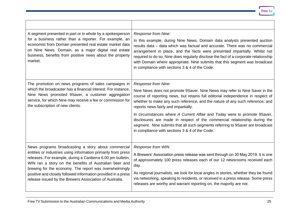| A segment presented in part or in whole by a spokesperson<br>for a business rather than a reporter. For example, an<br>economist from Domain presented real estate market data<br>on Nine News. Domain, as a major digital real estate<br>business, benefits from positive news about the property<br>market.                                                                                                                      | Response from Nine:<br>In this example, during Nine News, Domain data analysts presented auction<br>results data - data which was factual and accurate. There was no commercial<br>arrangement in place, and the facts were presented impartially. Whilst not<br>required to do so, Nine does regularly disclose the fact of a corporate relationship<br>with Domain where appropriate. Nine submits that this segment was broadcast<br>in compliance with sections 3 & 4 of the Code.                                                                                                                       |
|------------------------------------------------------------------------------------------------------------------------------------------------------------------------------------------------------------------------------------------------------------------------------------------------------------------------------------------------------------------------------------------------------------------------------------|--------------------------------------------------------------------------------------------------------------------------------------------------------------------------------------------------------------------------------------------------------------------------------------------------------------------------------------------------------------------------------------------------------------------------------------------------------------------------------------------------------------------------------------------------------------------------------------------------------------|
| The promotion on news programs of sales campaigns in<br>which the broadcaster has a financial interest. For instance,<br>Nine News promoted 9Saver, a customer aggregation<br>service, for which Nine may receive a fee or commission for<br>the subscription of new clients.                                                                                                                                                      | Response from Nine:<br>Nine News does not promote 9Saver. Nine News may refer to Nine Saver in the<br>course of reporting news, but retains full editorial independence in respect of<br>whether to make any such reference, and the nature of any such reference, and<br>reports news fairly and impartially.<br>In circumstances where A Current Affair and Today were to promote 9Saver,<br>disclosures are made in respect of the commercial relationship during the<br>segment. Nine submits that all such segments referring to 9Saver are broadcast<br>in compliance with sections 3 & 4 of the Code. |
| News programs broadcasting a story about commercial<br>entities or industries using information primarily from press<br>releases. For example, during a Canberra 6.00 pm bulletin,<br>WIN ran a story on the benefits of Australian beer and<br>brewing for the economy. The report was overwhelmingly<br>positive and closely followed information provided in a press<br>release issued by the Brewers Association of Australia. | Response from WIN:<br>A Brewers' Association press release was sent through on 30 May 2019. It is one<br>of approximately 100 press releases each of our 12 newsrooms received each<br>day.<br>As regional journalists, we look for local angles in stories, whether they be found<br>via networking, speaking to residents, or received in a press release. Some press<br>releases are worthy and warrant reporting on, the majority are not.                                                                                                                                                               |